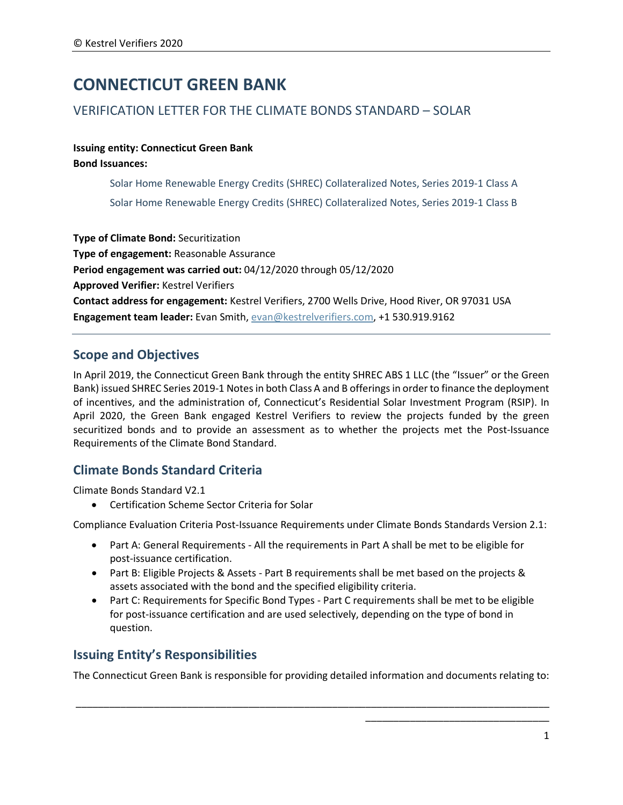# **CONNECTICUT GREEN BANK**

# VERIFICATION LETTER FOR THE CLIMATE BONDS STANDARD – SOLAR

#### **Issuing entity: Connecticut Green Bank Bond Issuances:**

Solar Home Renewable Energy Credits (SHREC) Collateralized Notes, Series 2019-1 Class A Solar Home Renewable Energy Credits (SHREC) Collateralized Notes, Series 2019-1 Class B

**Type of Climate Bond:** Securitization **Type of engagement:** Reasonable Assurance **Period engagement was carried out:** 04/12/2020 through 05/12/2020 **Approved Verifier:** Kestrel Verifiers **Contact address for engagement:** Kestrel Verifiers, 2700 Wells Drive, Hood River, OR 97031 USA **Engagement team leader:** Evan Smith, [evan@kestrelverifiers.com,](mailto:evan@kestrelverifiers.com) +1 530.919.9162

# **Scope and Objectives**

In April 2019, the Connecticut Green Bank through the entity SHREC ABS 1 LLC (the "Issuer" or the Green Bank) issued SHREC Series 2019-1 Notesin both Class A and B offeringsin order to finance the deployment of incentives, and the administration of, Connecticut's Residential Solar Investment Program (RSIP). In April 2020, the Green Bank engaged Kestrel Verifiers to review the projects funded by the green securitized bonds and to provide an assessment as to whether the projects met the Post-Issuance Requirements of the Climate Bond Standard.

# **Climate Bonds Standard Criteria**

Climate Bonds Standard V2.1

• Certification Scheme Sector Criteria for Solar

Compliance Evaluation Criteria Post-Issuance Requirements under Climate Bonds Standards Version 2.1:

- Part A: General Requirements All the requirements in Part A shall be met to be eligible for post-issuance certification.
- Part B: Eligible Projects & Assets Part B requirements shall be met based on the projects & assets associated with the bond and the specified eligibility criteria.
- Part C: Requirements for Specific Bond Types Part C requirements shall be met to be eligible for post-issuance certification and are used selectively, depending on the type of bond in question.

# **Issuing Entity's Responsibilities**

The Connecticut Green Bank is responsible for providing detailed information and documents relating to:

\_\_\_\_\_\_\_\_\_\_\_\_\_\_\_\_\_\_\_\_\_\_\_\_\_\_\_\_\_\_\_\_\_\_\_\_\_\_\_\_\_\_\_\_\_\_\_\_\_\_\_\_\_\_\_\_\_\_\_\_\_\_\_\_\_\_\_\_\_\_\_\_\_\_\_\_\_\_\_\_\_\_\_\_\_

\_\_\_\_\_\_\_\_\_\_\_\_\_\_\_\_\_\_\_\_\_\_\_\_\_\_\_\_\_\_\_\_\_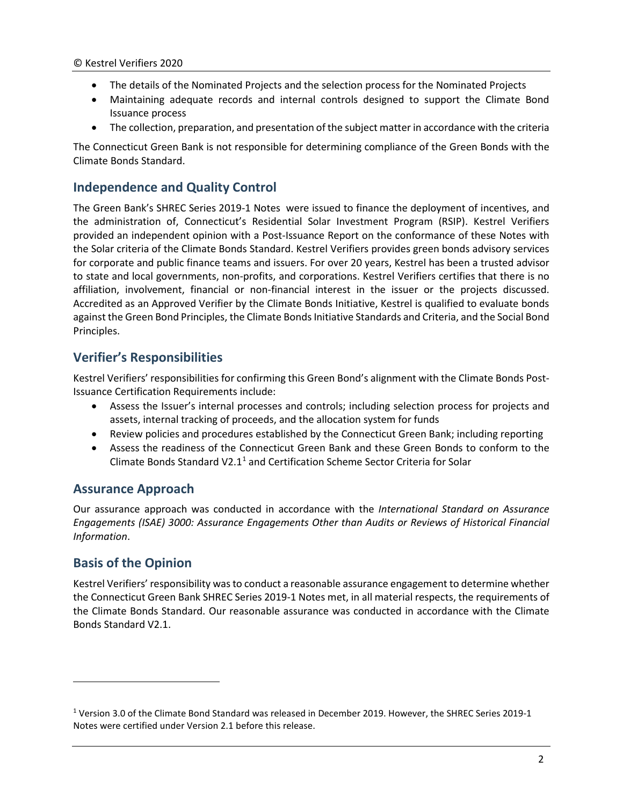- The details of the Nominated Projects and the selection process for the Nominated Projects
- Maintaining adequate records and internal controls designed to support the Climate Bond Issuance process
- The collection, preparation, and presentation of the subject matter in accordance with the criteria

The Connecticut Green Bank is not responsible for determining compliance of the Green Bonds with the Climate Bonds Standard.

### **Independence and Quality Control**

The Green Bank's SHREC Series 2019-1 Notes were issued to finance the deployment of incentives, and the administration of, Connecticut's Residential Solar Investment Program (RSIP). Kestrel Verifiers provided an independent opinion with a Post-Issuance Report on the conformance of these Notes with the Solar criteria of the Climate Bonds Standard. Kestrel Verifiers provides green bonds advisory services for corporate and public finance teams and issuers. For over 20 years, Kestrel has been a trusted advisor to state and local governments, non-profits, and corporations. Kestrel Verifiers certifies that there is no affiliation, involvement, financial or non-financial interest in the issuer or the projects discussed. Accredited as an Approved Verifier by the Climate Bonds Initiative, Kestrel is qualified to evaluate bonds against the Green Bond Principles, the Climate Bonds Initiative Standards and Criteria, and the Social Bond Principles.

### **Verifier's Responsibilities**

Kestrel Verifiers' responsibilities for confirming this Green Bond's alignment with the Climate Bonds Post-Issuance Certification Requirements include:

- Assess the Issuer's internal processes and controls; including selection process for projects and assets, internal tracking of proceeds, and the allocation system for funds
- Review policies and procedures established by the Connecticut Green Bank; including reporting
- Assess the readiness of the Connecticut Green Bank and these Green Bonds to conform to the Climate Bonds Standard V2.[1](#page-1-0)<sup>1</sup> and Certification Scheme Sector Criteria for Solar

### **Assurance Approach**

Our assurance approach was conducted in accordance with the *International Standard on Assurance Engagements (ISAE) 3000: Assurance Engagements Other than Audits or Reviews of Historical Financial Information*.

# **Basis of the Opinion**

Kestrel Verifiers' responsibility was to conduct a reasonable assurance engagement to determine whether the Connecticut Green Bank SHREC Series 2019-1 Notes met, in all material respects, the requirements of the Climate Bonds Standard. Our reasonable assurance was conducted in accordance with the Climate Bonds Standard V2.1.

<span id="page-1-0"></span><sup>1</sup> Version 3.0 of the Climate Bond Standard was released in December 2019. However, the SHREC Series 2019-1 Notes were certified under Version 2.1 before this release.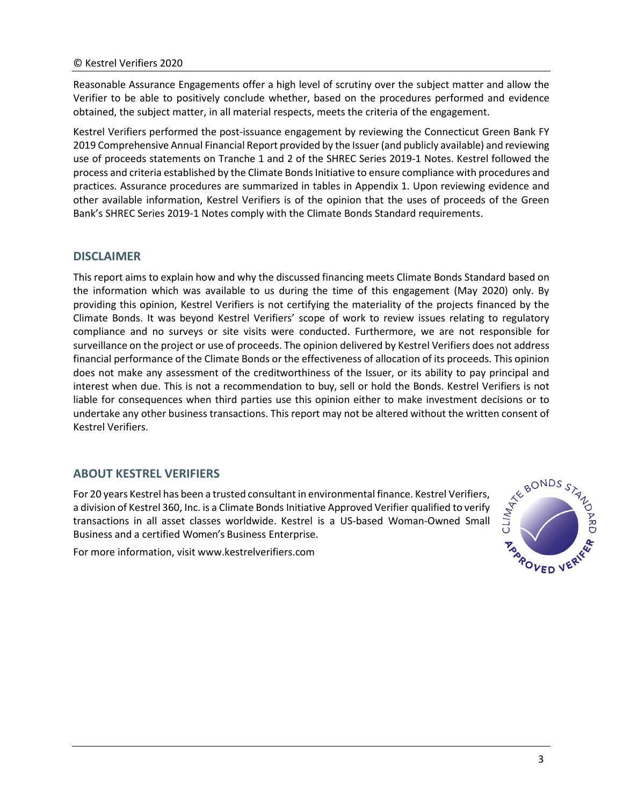Reasonable Assurance Engagements offer a high level of scrutiny over the subject matter and allow the Verifier to be able to positively conclude whether, based on the procedures performed and evidence obtained, the subject matter, in all material respects, meets the criteria of the engagement.

Kestrel Verifiers performed the post-issuance engagement by reviewing the Connecticut Green Bank FY 2019 Comprehensive Annual Financial Report provided by the Issuer(and publicly available) and reviewing use of proceeds statements on Tranche 1 and 2 of the SHREC Series 2019-1 Notes. Kestrel followed the process and criteria established by the Climate Bonds Initiative to ensure compliance with procedures and practices. Assurance procedures are summarized in tables in Appendix 1. Upon reviewing evidence and other available information, Kestrel Verifiers is of the opinion that the uses of proceeds of the Green Bank's SHREC Series 2019-1 Notes comply with the Climate Bonds Standard requirements.

#### **DISCLAIMER**

This report aims to explain how and why the discussed financing meets Climate Bonds Standard based on the information which was available to us during the time of this engagement (May 2020) only. By providing this opinion, Kestrel Verifiers is not certifying the materiality of the projects financed by the Climate Bonds. It was beyond Kestrel Verifiers' scope of work to review issues relating to regulatory compliance and no surveys or site visits were conducted. Furthermore, we are not responsible for surveillance on the project or use of proceeds. The opinion delivered by Kestrel Verifiers does not address financial performance of the Climate Bonds or the effectiveness of allocation of its proceeds. This opinion does not make any assessment of the creditworthiness of the Issuer, or its ability to pay principal and interest when due. This is not a recommendation to buy, sell or hold the Bonds. Kestrel Verifiers is not liable for consequences when third parties use this opinion either to make investment decisions or to undertake any other business transactions. This report may not be altered without the written consent of Kestrel Verifiers.

#### **ABOUT KESTREL VERIFIERS**

For 20 years Kestrel has been a trusted consultant in environmental finance. Kestrel Verifiers,<br>a division of Kestrel 360, Inc. is a Climate Bonds Initiative Approved Verifier qualified to verify transactions in all asset a division of Kestrel 360, Inc. is a Climate Bonds Initiative Approved Verifier qualified to verify transactions in all asset classes worldwide. Kestrel is a US-based Woman-Owned Small Business and a certified Women's Business Enterprise.



For more information, [visit www.kestrelverifiers.com](http://www.kestrelverifiers.com/)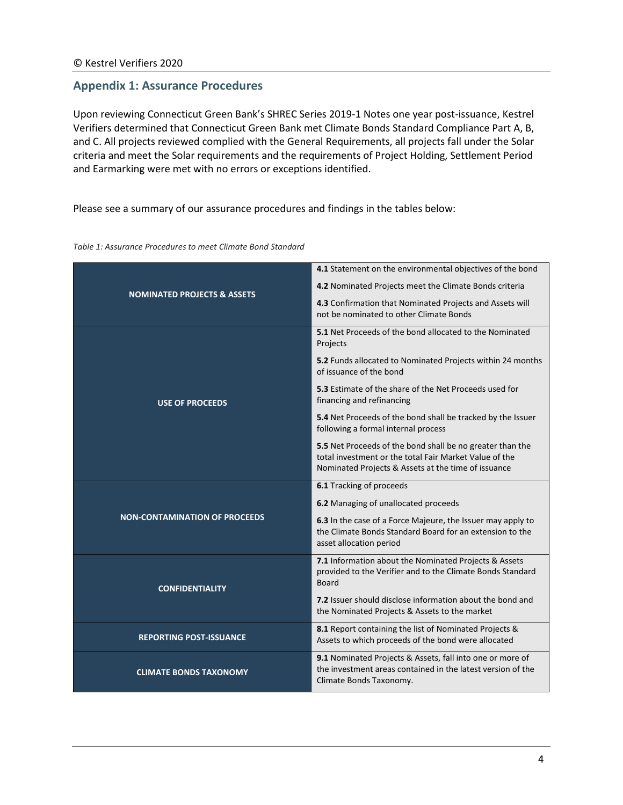#### **Appendix 1: Assurance Procedures**

Upon reviewing Connecticut Green Bank's SHREC Series 2019-1 Notes one year post-issuance, Kestrel Verifiers determined that Connecticut Green Bank met Climate Bonds Standard Compliance Part A, B, and C. All projects reviewed complied with the General Requirements, all projects fall under the Solar criteria and meet the Solar requirements and the requirements of Project Holding, Settlement Period and Earmarking were met with no errors or exceptions identified.

#### Please see a summary of our assurance procedures and findings in the tables below:

#### *Table 1: Assurance Procedures to meet Climate Bond Standard*

|                                        | 4.1 Statement on the environmental objectives of the bond                                                                                                                  |  |
|----------------------------------------|----------------------------------------------------------------------------------------------------------------------------------------------------------------------------|--|
|                                        | 4.2 Nominated Projects meet the Climate Bonds criteria                                                                                                                     |  |
| <b>NOMINATED PROJECTS &amp; ASSETS</b> | 4.3 Confirmation that Nominated Projects and Assets will<br>not be nominated to other Climate Bonds                                                                        |  |
| <b>USE OF PROCEEDS</b>                 | <b>5.1</b> Net Proceeds of the bond allocated to the Nominated<br>Projects                                                                                                 |  |
|                                        | 5.2 Funds allocated to Nominated Projects within 24 months<br>of issuance of the bond                                                                                      |  |
|                                        | 5.3 Estimate of the share of the Net Proceeds used for<br>financing and refinancing                                                                                        |  |
|                                        | 5.4 Net Proceeds of the bond shall be tracked by the Issuer<br>following a formal internal process                                                                         |  |
|                                        | 5.5 Net Proceeds of the bond shall be no greater than the<br>total investment or the total Fair Market Value of the<br>Nominated Projects & Assets at the time of issuance |  |
|                                        | 6.1 Tracking of proceeds                                                                                                                                                   |  |
|                                        | 6.2 Managing of unallocated proceeds                                                                                                                                       |  |
| <b>NON-CONTAMINATION OF PROCEEDS</b>   | 6.3 In the case of a Force Majeure, the Issuer may apply to<br>the Climate Bonds Standard Board for an extension to the<br>asset allocation period                         |  |
| <b>CONFIDENTIALITY</b>                 | 7.1 Information about the Nominated Projects & Assets<br>provided to the Verifier and to the Climate Bonds Standard<br><b>Board</b>                                        |  |
|                                        | 7.2 Issuer should disclose information about the bond and<br>the Nominated Projects & Assets to the market                                                                 |  |
| <b>REPORTING POST-ISSUANCE</b>         | 8.1 Report containing the list of Nominated Projects &<br>Assets to which proceeds of the bond were allocated                                                              |  |
| <b>CLIMATE BONDS TAXONOMY</b>          | 9.1 Nominated Projects & Assets, fall into one or more of<br>the investment areas contained in the latest version of the<br>Climate Bonds Taxonomy.                        |  |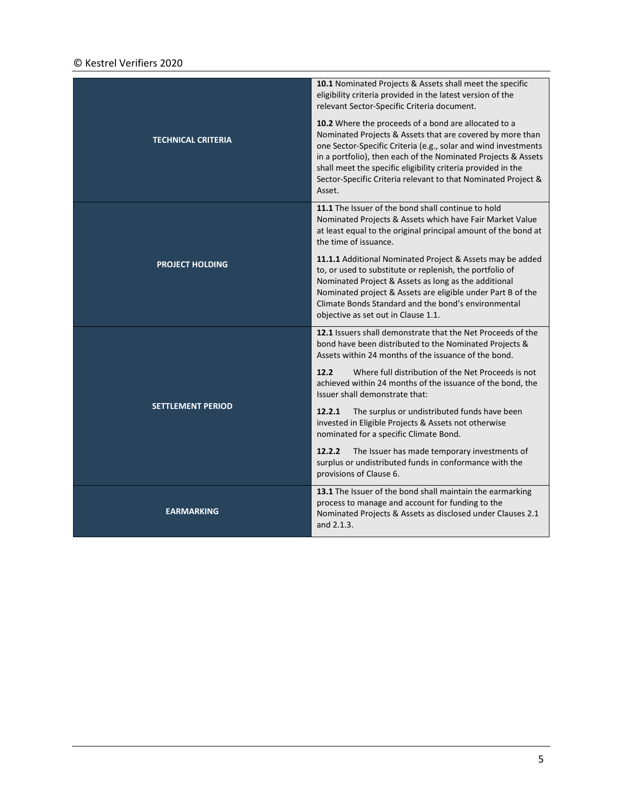#### © Kestrel Verifiers 2020

|                           | 10.1 Nominated Projects & Assets shall meet the specific<br>eligibility criteria provided in the latest version of the<br>relevant Sector-Specific Criteria document.                                                                                                                                                                                                                           |  |
|---------------------------|-------------------------------------------------------------------------------------------------------------------------------------------------------------------------------------------------------------------------------------------------------------------------------------------------------------------------------------------------------------------------------------------------|--|
| <b>TECHNICAL CRITERIA</b> | 10.2 Where the proceeds of a bond are allocated to a<br>Nominated Projects & Assets that are covered by more than<br>one Sector-Specific Criteria (e.g., solar and wind investments<br>in a portfolio), then each of the Nominated Projects & Assets<br>shall meet the specific eligibility criteria provided in the<br>Sector-Specific Criteria relevant to that Nominated Project &<br>Asset. |  |
|                           | 11.1 The Issuer of the bond shall continue to hold<br>Nominated Projects & Assets which have Fair Market Value<br>at least equal to the original principal amount of the bond at<br>the time of issuance.                                                                                                                                                                                       |  |
| <b>PROJECT HOLDING</b>    | 11.1.1 Additional Nominated Project & Assets may be added<br>to, or used to substitute or replenish, the portfolio of<br>Nominated Project & Assets as long as the additional<br>Nominated project & Assets are eligible under Part B of the<br>Climate Bonds Standard and the bond's environmental<br>objective as set out in Clause 1.1.                                                      |  |
| <b>SETTLEMENT PERIOD</b>  | 12.1 Issuers shall demonstrate that the Net Proceeds of the<br>bond have been distributed to the Nominated Projects &<br>Assets within 24 months of the issuance of the bond.                                                                                                                                                                                                                   |  |
|                           | 12.2<br>Where full distribution of the Net Proceeds is not<br>achieved within 24 months of the issuance of the bond, the<br>Issuer shall demonstrate that:                                                                                                                                                                                                                                      |  |
|                           | The surplus or undistributed funds have been<br>12.2.1<br>invested in Eligible Projects & Assets not otherwise<br>nominated for a specific Climate Bond.                                                                                                                                                                                                                                        |  |
|                           | The Issuer has made temporary investments of<br>12.2.2<br>surplus or undistributed funds in conformance with the<br>provisions of Clause 6.                                                                                                                                                                                                                                                     |  |
| <b>EARMARKING</b>         | 13.1 The Issuer of the bond shall maintain the earmarking<br>process to manage and account for funding to the<br>Nominated Projects & Assets as disclosed under Clauses 2.1<br>and 2.1.3.                                                                                                                                                                                                       |  |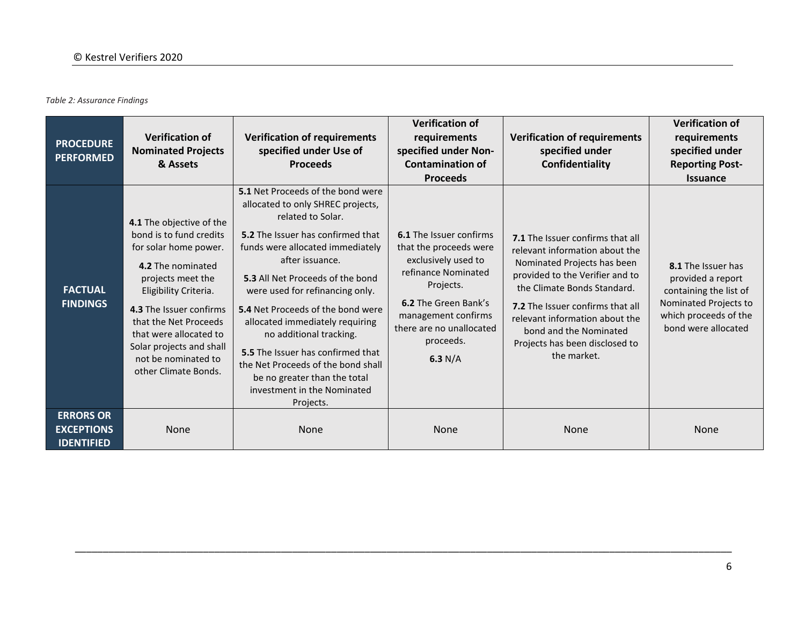*Table 2: Assurance Findings*

| <b>PROCEDURE</b><br><b>PERFORMED</b>                       | <b>Verification of</b><br><b>Nominated Projects</b><br>& Assets                                                                                                                                                                                                                                          | <b>Verification of requirements</b><br>specified under Use of<br><b>Proceeds</b>                                                                                                                                                                                                                                                                                                                                                                                                                                         | <b>Verification of</b><br>requirements<br>specified under Non-<br><b>Contamination of</b><br><b>Proceeds</b>                                                                                                                    | <b>Verification of requirements</b><br>specified under<br>Confidentiality                                                                                                                                                                                                                                            | <b>Verification of</b><br>requirements<br>specified under<br><b>Reporting Post-</b><br><b>Issuance</b>                                     |
|------------------------------------------------------------|----------------------------------------------------------------------------------------------------------------------------------------------------------------------------------------------------------------------------------------------------------------------------------------------------------|--------------------------------------------------------------------------------------------------------------------------------------------------------------------------------------------------------------------------------------------------------------------------------------------------------------------------------------------------------------------------------------------------------------------------------------------------------------------------------------------------------------------------|---------------------------------------------------------------------------------------------------------------------------------------------------------------------------------------------------------------------------------|----------------------------------------------------------------------------------------------------------------------------------------------------------------------------------------------------------------------------------------------------------------------------------------------------------------------|--------------------------------------------------------------------------------------------------------------------------------------------|
| <b>FACTUAL</b><br><b>FINDINGS</b>                          | 4.1 The objective of the<br>bond is to fund credits<br>for solar home power.<br>4.2 The nominated<br>projects meet the<br>Eligibility Criteria.<br>4.3 The Issuer confirms<br>that the Net Proceeds<br>that were allocated to<br>Solar projects and shall<br>not be nominated to<br>other Climate Bonds. | 5.1 Net Proceeds of the bond were<br>allocated to only SHREC projects,<br>related to Solar.<br>5.2 The Issuer has confirmed that<br>funds were allocated immediately<br>after issuance.<br>5.3 All Net Proceeds of the bond<br>were used for refinancing only.<br>5.4 Net Proceeds of the bond were<br>allocated immediately requiring<br>no additional tracking.<br>5.5 The Issuer has confirmed that<br>the Net Proceeds of the bond shall<br>be no greater than the total<br>investment in the Nominated<br>Projects. | <b>6.1</b> The Issuer confirms<br>that the proceeds were<br>exclusively used to<br>refinance Nominated<br>Projects.<br><b>6.2</b> The Green Bank's<br>management confirms<br>there are no unallocated<br>proceeds.<br>6.3 $N/A$ | 7.1 The Issuer confirms that all<br>relevant information about the<br>Nominated Projects has been<br>provided to the Verifier and to<br>the Climate Bonds Standard.<br>7.2 The Issuer confirms that all<br>relevant information about the<br>bond and the Nominated<br>Projects has been disclosed to<br>the market. | 8.1 The Issuer has<br>provided a report<br>containing the list of<br>Nominated Projects to<br>which proceeds of the<br>bond were allocated |
| <b>ERRORS OR</b><br><b>EXCEPTIONS</b><br><b>IDENTIFIED</b> | None                                                                                                                                                                                                                                                                                                     | <b>None</b>                                                                                                                                                                                                                                                                                                                                                                                                                                                                                                              | None                                                                                                                                                                                                                            | <b>None</b>                                                                                                                                                                                                                                                                                                          | <b>None</b>                                                                                                                                |

\_\_\_\_\_\_\_\_\_\_\_\_\_\_\_\_\_\_\_\_\_\_\_\_\_\_\_\_\_\_\_\_\_\_\_\_\_\_\_\_\_\_\_\_\_\_\_\_\_\_\_\_\_\_\_\_\_\_\_\_\_\_\_\_\_\_\_\_\_\_\_\_\_\_\_\_\_\_\_\_\_\_\_\_\_\_\_\_\_\_\_\_\_\_\_\_\_\_\_\_\_\_\_\_\_\_\_\_\_\_\_\_\_\_\_\_\_\_